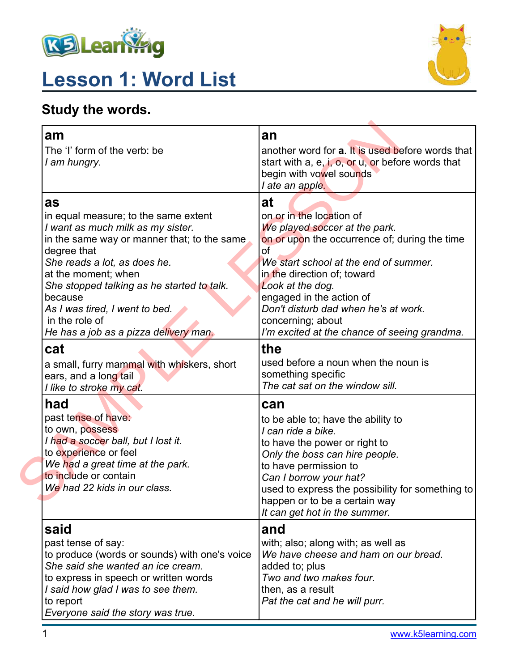

# **Lesson 1: Word List**



## **Study the words.**

| am<br>The 'I' form of the verb: be<br>I am hungry.                                                                                                                                                                                                                                                                | an<br>another word for <b>a</b> . It is used before words that<br>start with a, e, i, o, or u, or before words that<br>begin with vowel sounds<br>I ate an apple.                                                                                                                                           |
|-------------------------------------------------------------------------------------------------------------------------------------------------------------------------------------------------------------------------------------------------------------------------------------------------------------------|-------------------------------------------------------------------------------------------------------------------------------------------------------------------------------------------------------------------------------------------------------------------------------------------------------------|
| as<br>in equal measure; to the same extent<br>I want as much milk as my sister.<br>in the same way or manner that; to the same<br>degree that<br>She reads a lot, as does he.<br>at the moment; when<br>She stopped talking as he started to talk.<br>because<br>As I was tired, I went to bed.<br>in the role of | at<br>on or in the location of<br>We played soccer at the park.<br>on or upon the occurrence of; during the time<br>of<br>We start school at the end of summer.<br>in the direction of; toward<br>Look at the dog.<br>engaged in the action of<br>Don't disturb dad when he's at work.<br>concerning; about |
| He has a job as a pizza delivery man.<br>cat<br>a small, furry mammal with whiskers, short<br>ears, and a long tail<br>I like to stroke my cat.                                                                                                                                                                   | I'm excited at the chance of seeing grandma.<br>the<br>used before a noun when the noun is<br>something specific<br>The cat sat on the window sill.                                                                                                                                                         |
| had<br>past tense of have:<br>to own, possess<br>I had a soccer ball, but I lost it.<br>to experience or feel<br>We had a great time at the park.<br>to include or contain<br>We had 22 kids in our class.                                                                                                        | can<br>to be able to; have the ability to<br>I can ride a bike.<br>to have the power or right to<br>Only the boss can hire people.<br>to have permission to<br>Can I borrow your hat?<br>used to express the possibility for something to<br>happen or to be a certain way<br>It can get hot in the summer. |
| said<br>past tense of say:<br>to produce (words or sounds) with one's voice<br>She said she wanted an ice cream.<br>to express in speech or written words<br>I said how glad I was to see them.<br>to report<br>Everyone said the story was true.                                                                 | and<br>with; also; along with; as well as<br>We have cheese and ham on our bread.<br>added to; plus<br>Two and two makes four.<br>then, as a result<br>Pat the cat and he will purr.                                                                                                                        |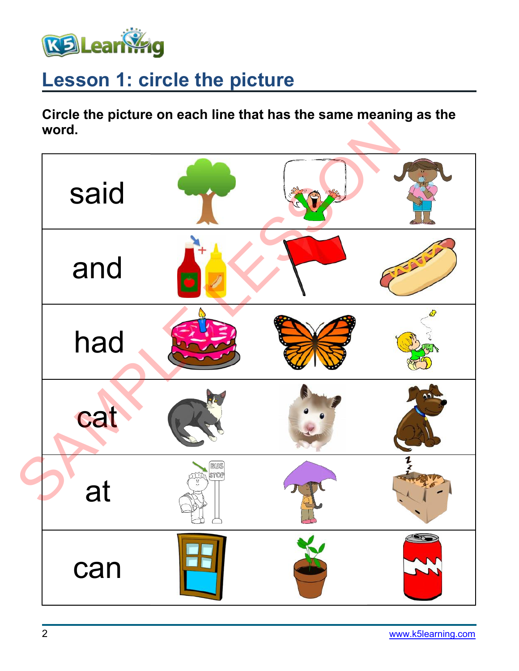

# **Lesson 1: circle the picture**

**Circle the picture on each line that has the same meaning as the word.**

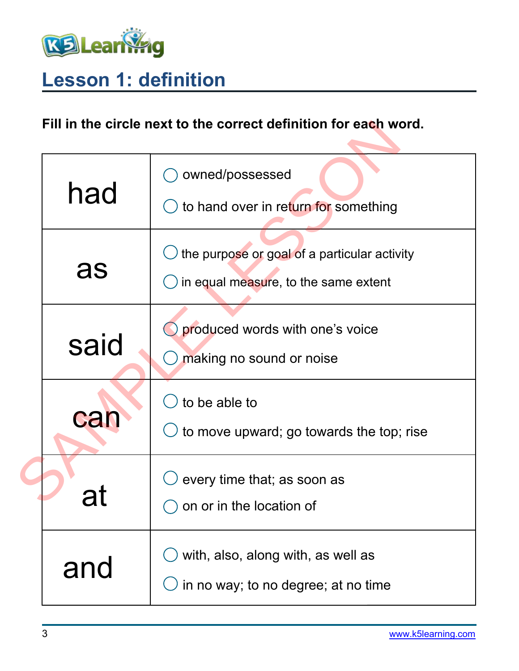

# **Lesson 1: definition**

### **Fill in the circle next to the correct definition for each word.**

| Fill in the circle next to the correct definition for each word. |                                                                                      |  |  |  |  |
|------------------------------------------------------------------|--------------------------------------------------------------------------------------|--|--|--|--|
| had                                                              | owned/possessed<br>to hand over in return for something                              |  |  |  |  |
| as                                                               | the purpose or goal of a particular activity<br>in equal measure, to the same extent |  |  |  |  |
| said                                                             | produced words with one's voice<br>making no sound or noise                          |  |  |  |  |
| can                                                              | to be able to<br>to move upward; go towards the top; rise                            |  |  |  |  |
| al                                                               | every time that; as soon as<br>on or in the location of                              |  |  |  |  |
| and                                                              | with, also, along with, as well as<br>in no way; to no degree; at no time            |  |  |  |  |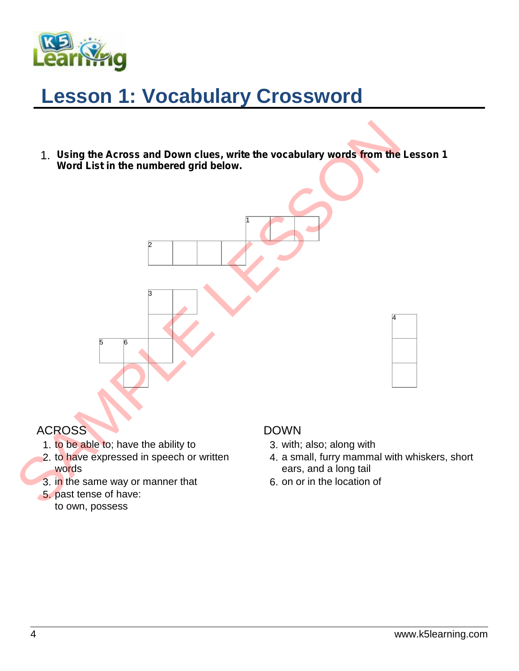

# **Lesson 1: Vocabulary Crossword**

2 |

3

1. *Using the Across and Down clues, write the vocabulary words from the Lesson 1 Word List in the numbered grid below.* 1. Using the Across and Down clues, write the vocabulary words from the<br>Word List in the numbered grid below.<br>
1. to be able to: have the ability to<br>
2. to have expressed in speech or written<br>
2. to have expressed in speec

1 1



#### ACROSS

1. to be able to; have the ability to

5 6

- 2. to have expressed in speech or written words
- 3. in the same way or manner that
- 5. past tense of have: to own, possess

#### DOWN

- 3. with; also; along with
- 4. a small, furry mammal with whiskers, short ears, and a long tail

4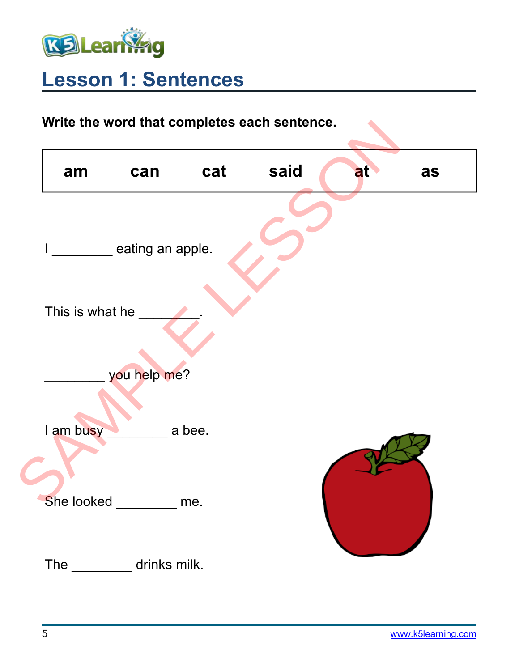

# **Lesson 1: Sentences**

## **Write the word that completes each sentence.**

| Write the word that completes each sentence. |                  |        |      |    |    |  |  |
|----------------------------------------------|------------------|--------|------|----|----|--|--|
| am                                           | can              | cat    | said | at | as |  |  |
|                                              | eating an apple. |        |      |    |    |  |  |
| This is what he                              |                  |        |      |    |    |  |  |
|                                              | you help me?     |        |      |    |    |  |  |
| I am busy                                    |                  | a bee. |      |    |    |  |  |
| She looked                                   |                  | me.    |      |    |    |  |  |
| <b>The</b>                                   | drinks milk.     |        |      |    |    |  |  |